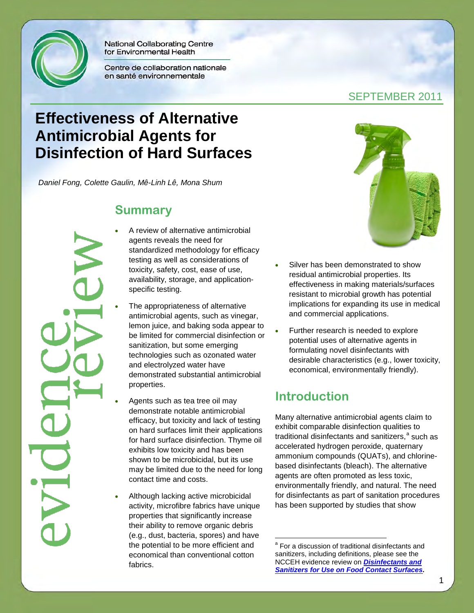

National Collaborating Centre for Environmental Health

Centre de collaboration nationale en santé environnementale

#### SEPTEMBER 2011

# **Effectiveness of Alternative Antimicrobial Agents for Disinfection of Hard Surfaces**

*Daniel Fong, Colette Gaulin, Mê-Linh Lê, Mona Shum*

#### **Summary**

- A review of alternative antimicrobial agents reveals the need for standardized methodology for efficacy testing as well as considerations of toxicity, safety, cost, ease of use, availability, storage, and applicationspecific testing.
- The appropriateness of alternative antimicrobial agents, such as vinegar, lemon juice, and baking soda appear to be limited for commercial disinfection or sanitization, but some emerging technologies such as ozonated water and electrolyzed water have demonstrated substantial antimicrobial properties.
- Agents such as tea tree oil may demonstrate notable antimicrobial efficacy, but toxicity and lack of testing on hard surfaces limit their applications for hard surface disinfection. Thyme oil exhibits low toxicity and has been shown to be microbicidal, but its use may be limited due to the need for long contact time and costs.
- <span id="page-0-0"></span>• Although lacking active microbicidal activity, microfibre fabrics have unique properties that significantly increase their ability to remove organic debris (e.g., dust, bacteria, spores) and have the potential to be more efficient and economical than conventional cotton fabrics.



- Silver has been demonstrated to show residual antimicrobial properties. Its effectiveness in making materials/surfaces resistant to microbial growth has potential implications for expanding its use in medical and commercial applications.
- Further research is needed to explore potential uses of alternative agents in formulating novel disinfectants with desirable characteristics (e.g., lower toxicity, economical, environmentally friendly).

### **Introduction**

 $\overline{a}$ 

Many alternative antimicrobial agents claim to exhibit comparable disinfection qualities to tr[a](#page-0-0)ditional disinfectants and sanitizers,<sup>a</sup> such as accelerated hydrogen peroxide, quaternary ammonium compounds (QUATs), and chlorinebased disinfectants (bleach). The alternative agents are often promoted as less toxic, environmentally friendly, and natural. The need for disinfectants as part of sanitation procedures has been supported by studies that show

<sup>a</sup> For a discussion of traditional disinfectants and sanitizers, including definitions, please see the NCCEH evidence review on *[Disinfectants and](http://www.ncceh.ca/en/practice_policy/ncceh_reviews/food_contact_sanitizers)  [Sanitizers for Use on Food Contact Surfaces.](http://www.ncceh.ca/en/practice_policy/ncceh_reviews/food_contact_sanitizers)*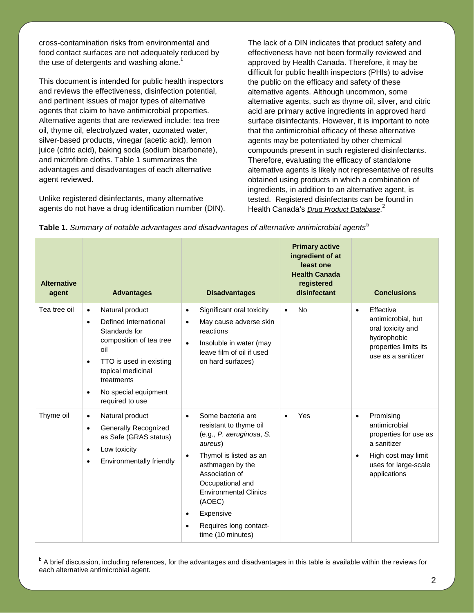cross-contamination risks from environmental and food contact surfaces are not adequately reduced by the use of detergents and washing alone.<sup>1</sup>

This document is intended for public health inspectors and reviews the effectiveness, disinfection potential, and pertinent issues of major types of alternative agents that claim to have antimicrobial properties. Alternative agents that are reviewed include: tea tree oil, thyme oil, electrolyzed water, ozonated water, silver-based products, vinegar (acetic acid), lemon juice (citric acid), baking soda (sodium bicarbonate), and microfibre cloths. Table 1 summarizes the advantages and disadvantages of each alternative agent reviewed.

Unlike registered disinfectants, many alternative agents do not have a drug identification number (DIN).

 $\overline{a}$ 

The lack of a DIN indicates that product safety and effectiveness have not been formally reviewed and approved by Health Canada. Therefore, it may be difficult for public health inspectors (PHIs) to advise the public on the efficacy and safety of these alternative agents. Although uncommon, some alternative agents, such as thyme oil, silver, and citric acid are primary active ingredients in approved hard surface disinfectants. However, it is important to note that the antimicrobial efficacy of these alternative agents may be potentiated by other chemical compounds present in such registered disinfectants. Therefore, evaluating the efficacy of standalone alternative agents is likely not representative of results obtained using products in which a combination of ingredients, in addition to an alternative agent, is tested. Registered disinfectants can be found in Health Canada's *[Drug Product Database](http://webprod.hc-sc.gc.ca/dpd-bdpp/index-eng.jsp)*. 2

| Table 1. Summary of notable advantages and disadvantages of alternative antimicrobial agents <sup>b</sup> |  |  |
|-----------------------------------------------------------------------------------------------------------|--|--|
|                                                                                                           |  |  |

| <b>Alternative</b><br>agent | <b>Advantages</b>                                                                                                                                                                                                                                        | <b>Disadvantages</b>                                                                                                                                                                                                                                                                                                             | <b>Primary active</b><br>ingredient of at<br>least one<br><b>Health Canada</b><br>registered<br>disinfectant | <b>Conclusions</b>                                                                                                                                          |
|-----------------------------|----------------------------------------------------------------------------------------------------------------------------------------------------------------------------------------------------------------------------------------------------------|----------------------------------------------------------------------------------------------------------------------------------------------------------------------------------------------------------------------------------------------------------------------------------------------------------------------------------|--------------------------------------------------------------------------------------------------------------|-------------------------------------------------------------------------------------------------------------------------------------------------------------|
| Tea tree oil                | Natural product<br>$\bullet$<br>Defined International<br>$\bullet$<br>Standards for<br>composition of tea tree<br>oil<br>TTO is used in existing<br>$\bullet$<br>topical medicinal<br>treatments<br>No special equipment<br>$\bullet$<br>required to use | Significant oral toxicity<br>$\bullet$<br>May cause adverse skin<br>$\bullet$<br>reactions<br>Insoluble in water (may<br>$\bullet$<br>leave film of oil if used<br>on hard surfaces)                                                                                                                                             | <b>No</b><br>$\bullet$                                                                                       | Effective<br>$\bullet$<br>antimicrobial, but<br>oral toxicity and<br>hydrophobic<br>properties limits its<br>use as a sanitizer                             |
| Thyme oil                   | Natural product<br>$\bullet$<br>Generally Recognized<br>$\bullet$<br>as Safe (GRAS status)<br>Low toxicity<br>$\bullet$<br>Environmentally friendly<br>$\bullet$                                                                                         | Some bacteria are<br>$\bullet$<br>resistant to thyme oil<br>(e.g., P. aeruginosa, S.<br>aureus)<br>Thymol is listed as an<br>$\bullet$<br>asthmagen by the<br>Association of<br>Occupational and<br><b>Environmental Clinics</b><br>(AOEC)<br>Expensive<br>$\bullet$<br>Requires long contact-<br>$\bullet$<br>time (10 minutes) | Yes<br>$\bullet$                                                                                             | Promising<br>$\bullet$<br>antimicrobial<br>properties for use as<br>a sanitizer<br>High cost may limit<br>$\bullet$<br>uses for large-scale<br>applications |

<span id="page-1-0"></span><sup>&</sup>lt;sup>b</sup> A brief discussion, including references, for the advantages and disadvantages in this table is available within the reviews for each alternative antimicrobial agent.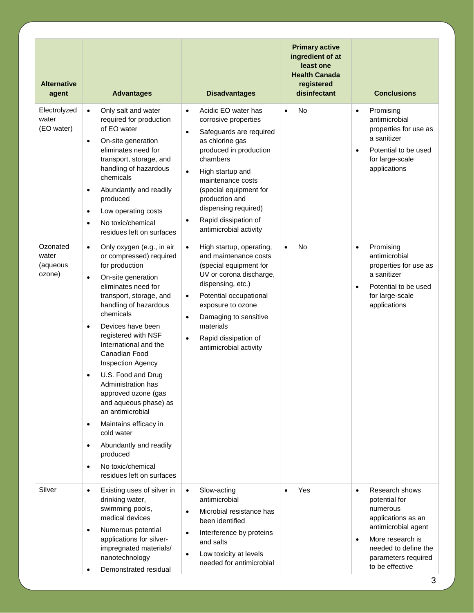| <b>Alternative</b><br>agent                                          | <b>Advantages</b>                                                                                                                                                                                                                                                                                                                                                                                                                                                                                                                                         | <b>Disadvantages</b>                                                                                                                                                                                                                                                                                                                                                                                                                           | <b>Primary active</b><br>ingredient of at<br>least one<br><b>Health Canada</b><br>registered<br>disinfectant | <b>Conclusions</b>                                                                                                                                                                                                          |
|----------------------------------------------------------------------|-----------------------------------------------------------------------------------------------------------------------------------------------------------------------------------------------------------------------------------------------------------------------------------------------------------------------------------------------------------------------------------------------------------------------------------------------------------------------------------------------------------------------------------------------------------|------------------------------------------------------------------------------------------------------------------------------------------------------------------------------------------------------------------------------------------------------------------------------------------------------------------------------------------------------------------------------------------------------------------------------------------------|--------------------------------------------------------------------------------------------------------------|-----------------------------------------------------------------------------------------------------------------------------------------------------------------------------------------------------------------------------|
| Electrolyzed<br>water<br>(EO water)<br>Ozonated<br>water<br>(aqueous | Only salt and water<br>$\bullet$<br>required for production<br>of EO water<br>On-site generation<br>$\bullet$<br>eliminates need for<br>transport, storage, and<br>handling of hazardous<br>chemicals<br>Abundantly and readily<br>$\bullet$<br>produced<br>Low operating costs<br>$\bullet$<br>No toxic/chemical<br>$\bullet$<br>residues left on surfaces<br>Only oxygen (e.g., in air<br>$\bullet$<br>or compressed) required<br>for production                                                                                                        | Acidic EO water has<br>$\bullet$<br>corrosive properties<br>Safeguards are required<br>$\bullet$<br>as chlorine gas<br>produced in production<br>chambers<br>High startup and<br>$\bullet$<br>maintenance costs<br>(special equipment for<br>production and<br>dispensing required)<br>Rapid dissipation of<br>$\bullet$<br>antimicrobial activity<br>High startup, operating,<br>$\bullet$<br>and maintenance costs<br>(special equipment for | <b>No</b><br>$\bullet$<br><b>No</b><br>$\bullet$                                                             | Promising<br>$\bullet$<br>antimicrobial<br>properties for use as<br>a sanitizer<br>Potential to be used<br>$\bullet$<br>for large-scale<br>applications<br>Promising<br>$\bullet$<br>antimicrobial<br>properties for use as |
| ozone)                                                               | On-site generation<br>$\bullet$<br>eliminates need for<br>transport, storage, and<br>handling of hazardous<br>chemicals<br>Devices have been<br>$\bullet$<br>registered with NSF<br>International and the<br>Canadian Food<br><b>Inspection Agency</b><br>U.S. Food and Drug<br>$\bullet$<br>Administration has<br>approved ozone (gas<br>and aqueous phase) as<br>an antimicrobial<br>Maintains efficacy in<br>$\bullet$<br>cold water<br>Abundantly and readily<br>$\bullet$<br>produced<br>No toxic/chemical<br>$\bullet$<br>residues left on surfaces | UV or corona discharge,<br>dispensing, etc.)<br>Potential occupational<br>$\bullet$<br>exposure to ozone<br>Damaging to sensitive<br>$\bullet$<br>materials<br>Rapid dissipation of<br>$\bullet$<br>antimicrobial activity                                                                                                                                                                                                                     |                                                                                                              | a sanitizer<br>Potential to be used<br>$\bullet$<br>for large-scale<br>applications                                                                                                                                         |
| Silver                                                               | Existing uses of silver in<br>$\bullet$<br>drinking water,<br>swimming pools,<br>medical devices<br>Numerous potential<br>$\bullet$<br>applications for silver-<br>impregnated materials/<br>nanotechnology<br>Demonstrated residual                                                                                                                                                                                                                                                                                                                      | Slow-acting<br>$\bullet$<br>antimicrobial<br>Microbial resistance has<br>$\bullet$<br>been identified<br>Interference by proteins<br>$\bullet$<br>and salts<br>Low toxicity at levels<br>$\bullet$<br>needed for antimicrobial                                                                                                                                                                                                                 | Yes                                                                                                          | Research shows<br>$\bullet$<br>potential for<br>numerous<br>applications as an<br>antimicrobial agent<br>More research is<br>$\bullet$<br>needed to define the<br>parameters required<br>to be effective                    |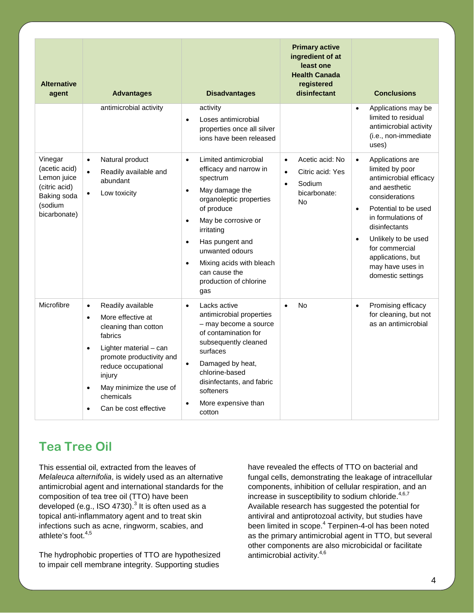| <b>Alternative</b><br>agent                                                                        | <b>Advantages</b>                                                                                                                                                                                                                                                                                  | <b>Disadvantages</b>                                                                                                                                                                                                                                                                                                                | <b>Primary active</b><br>ingredient of at<br>least one<br><b>Health Canada</b><br>registered<br>disinfectant | <b>Conclusions</b>                                                                                                                                                                                                                                                                                            |
|----------------------------------------------------------------------------------------------------|----------------------------------------------------------------------------------------------------------------------------------------------------------------------------------------------------------------------------------------------------------------------------------------------------|-------------------------------------------------------------------------------------------------------------------------------------------------------------------------------------------------------------------------------------------------------------------------------------------------------------------------------------|--------------------------------------------------------------------------------------------------------------|---------------------------------------------------------------------------------------------------------------------------------------------------------------------------------------------------------------------------------------------------------------------------------------------------------------|
|                                                                                                    | antimicrobial activity                                                                                                                                                                                                                                                                             | activity<br>Loses antimicrobial<br>$\bullet$<br>properties once all silver<br>jons have been released                                                                                                                                                                                                                               |                                                                                                              | Applications may be<br>$\bullet$<br>limited to residual<br>antimicrobial activity<br>(i.e., non-immediate<br>uses)                                                                                                                                                                                            |
| Vinegar<br>(acetic acid)<br>Lemon juice<br>(citric acid)<br>Baking soda<br>(sodium<br>bicarbonate) | Natural product<br>$\bullet$<br>Readily available and<br>$\bullet$<br>abundant<br>Low toxicity<br>$\bullet$                                                                                                                                                                                        | Limited antimicrobial<br>$\bullet$<br>efficacy and narrow in<br>spectrum<br>May damage the<br>$\bullet$<br>organoleptic properties<br>of produce<br>May be corrosive or<br>irritating<br>Has pungent and<br>$\bullet$<br>unwanted odours<br>Mixing acids with bleach<br>$\bullet$<br>can cause the<br>production of chlorine<br>gas | Acetic acid: No<br>$\bullet$<br>Citric acid: Yes<br>$\bullet$<br>Sodium<br>$\bullet$<br>bicarbonate:<br>No   | Applications are<br>$\bullet$<br>limited by poor<br>antimicrobial efficacy<br>and aesthetic<br>considerations<br>Potential to be used<br>$\bullet$<br>in formulations of<br>disinfectants<br>Unlikely to be used<br>$\bullet$<br>for commercial<br>applications, but<br>may have uses in<br>domestic settings |
| Microfibre                                                                                         | Readily available<br>$\bullet$<br>More effective at<br>$\bullet$<br>cleaning than cotton<br>fabrics<br>Lighter material - can<br>$\bullet$<br>promote productivity and<br>reduce occupational<br>injury<br>May minimize the use of<br>$\bullet$<br>chemicals<br>Can be cost effective<br>$\bullet$ | Lacks active<br>$\bullet$<br>antimicrobial properties<br>- may become a source<br>of contamination for<br>subsequently cleaned<br>surfaces<br>Damaged by heat,<br>$\bullet$<br>chlorine-based<br>disinfectants, and fabric<br>softeners<br>More expensive than<br>$\bullet$<br>cotton                                               | No<br>$\bullet$                                                                                              | Promising efficacy<br>$\bullet$<br>for cleaning, but not<br>as an antimicrobial                                                                                                                                                                                                                               |

### **Tea Tree Oil**

This essential oil, extracted from the leaves of *Melaleuca alternifolia*, is widely used as an alternative antimicrobial agent and international standards for the composition of tea tree oil (TTO) have been developed (e.g., ISO 4730). $^3$  It is often used as a topical anti-inflammatory agent and to treat skin infections such as acne, ringworm, scabies, and athlete's foot. 4,5

The hydrophobic properties of TTO are hypothesized to impair cell membrane integrity. Supporting studies

have revealed the effects of TTO on bacterial and fungal cells, demonstrating the leakage of intracellular components, inhibition of cellular respiration, and an increase in susceptibility to sodium chloride.<sup>4,6,7</sup> Available research has suggested the potential for antiviral and antiprotozoal activity, but studies have been limited in scope.<sup>4</sup> Terpinen-4-ol has been noted as the primary antimicrobial agent in TTO, but several other components are also microbicidal or facilitate antimicrobial activity. 4,6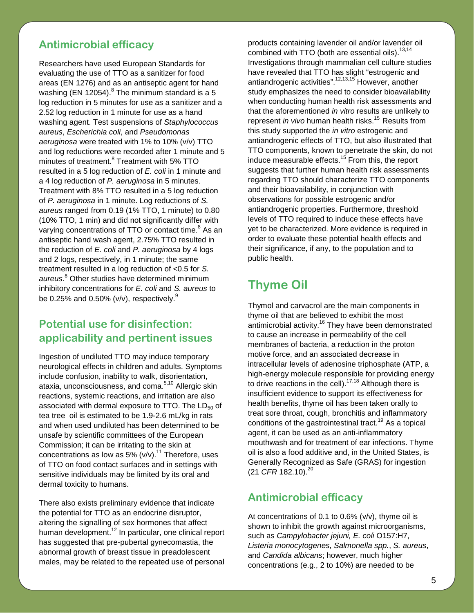#### **Antimicrobial efficacy**

Researchers have used European Standards for evaluating the use of TTO as a sanitizer for food areas (EN 1276) and as an antiseptic agent for hand washing (EN 12054). $8$  The minimum standard is a 5 log reduction in 5 minutes for use as a sanitizer and a 2.52 log reduction in 1 minute for use as a hand washing agent. Test suspensions of *Staphylococcus aureus*, *Escherichia coli*, and *Pseudomonas aeruginosa* were treated with 1% to 10% (v/v) TTO and log reductions were recorded after 1 minute and 5 minutes of treatment.<sup>8</sup> Treatment with 5% TTO resulted in a 5 log reduction of *E. coli* in 1 minute and a 4 log reduction of *P. aeruginosa* in 5 minutes. Treatment with 8% TTO resulted in a 5 log reduction of *P. aeruginosa* in 1 minute. Log reductions of *S. aureus* ranged from 0.19 (1% TTO, 1 minute) to 0.80 (10% TTO, 1 min) and did not significantly differ with varying concentrations of TTO or contact time.<sup>8</sup> As an antiseptic hand wash agent, 2.75% TTO resulted in the reduction of *E. coli* and *P. aeruginosa* by 4 logs and 2 logs, respectively, in 1 minute; the same treatment resulted in a log reduction of <0.5 for *S. aureus.*<sup>8</sup> Other studies have determined minimum inhibitory concentrations for *E. coli* and *S. aureus* to be 0.25% and 0.50% (v/v), respectively. $^9$ 

#### **Potential use for disinfection: applicability and pertinent issues**

Ingestion of undiluted TTO may induce temporary neurological effects in children and adults. Symptoms include confusion, inability to walk, disorientation, ataxia, unconsciousness, and coma.<sup>5,10</sup> Allergic skin reactions, systemic reactions, and irritation are also associated with dermal exposure to TTO. The  $LD_{50}$  of tea tree oil is estimated to be 1.9-2.6 mL/kg in rats and when used undiluted has been determined to be unsafe by scientific committees of the European Commission; it can be irritating to the skin at concentrations as low as 5% ( $v/v$ ).<sup>11</sup> Therefore, uses of TTO on food contact surfaces and in settings with sensitive individuals may be limited by its oral and dermal toxicity to humans.

There also exists preliminary evidence that indicate the potential for TTO as an endocrine disruptor, altering the signalling of sex hormones that affect human development.<sup>12</sup> In particular, one clinical report has suggested that pre-pubertal gynecomastia, the abnormal growth of breast tissue in preadolescent males, may be related to the repeated use of personal

products containing lavender oil and/or lavender oil combined with TTO (both are essential oils).<sup>13,14</sup> Investigations through mammalian cell culture studies have revealed that TTO has slight "estrogenic and antiandrogenic activities".<sup>12,13,15</sup> However, another study emphasizes the need to consider bioavailability when conducting human health risk assessments and that the aforementioned *in vitro* results are unlikely to represent *in vivo* human health risks. 15 Results from this study supported the *in vitro* estrogenic and antiandrogenic effects of TTO, but also illustrated that TTO components, known to penetrate the skin, do not induce measurable effects.<sup>15</sup> From this, the report suggests that further human health risk assessments regarding TTO should characterize TTO components and their bioavailability, in conjunction with observations for possible estrogenic and/or antiandrogenic properties. Furthermore, threshold levels of TTO required to induce these effects have yet to be characterized. More evidence is required in order to evaluate these potential health effects and their significance, if any, to the population and to public health.

## **Thyme Oil**

Thymol and carvacrol are the main components in thyme oil that are believed to exhibit the most antimicrobial activity.<sup>16</sup> They have been demonstrated to cause an increase in permeability of the cell membranes of bacteria, a reduction in the proton motive force, and an associated decrease in intracellular levels of adenosine triphosphate (ATP, a high-energy molecule responsible for providing energy to drive reactions in the cell). $17,18$  Although there is insufficient evidence to support its effectiveness for health benefits, thyme oil has been taken orally to treat sore throat, cough, bronchitis and inflammatory conditions of the gastrointestinal tract. <sup>19</sup> As a topical agent, it can be used as an anti-inflammatory mouthwash and for treatment of ear infections. Thyme oil is also a food additive and, in the United States, is Generally Recognized as Safe (GRAS) for ingestion (21 *CFR* 182.10). 20

#### **Antimicrobial efficacy**

At concentrations of 0.1 to 0.6% (v/v), thyme oil is shown to inhibit the growth against microorganisms, such as *Campylobacter jejuni, E. coli* O157:H7, *Listeria monocytogenes, Salmonella spp.*, *S. aureus*, and *Candida albicans*; however, much higher concentrations (e.g., 2 to 10%) are needed to be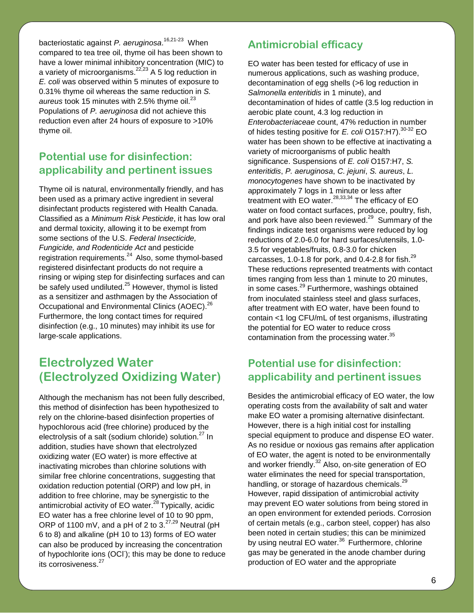bacteriostatic against *P. aeruginosa*. 16,21-23 When compared to tea tree oil, thyme oil has been shown to have a lower minimal inhibitory concentration (MIC) to a variety of microorganisms.<sup>22,23</sup> A 5 log reduction in *E. coli* was observed within 5 minutes of exposure to 0.31% thyme oil whereas the same reduction in *S.*  aureus took 15 minutes with 2.5% thyme oil.<sup>23</sup> Populations of *P. aeruginosa* did not achieve this reduction even after 24 hours of exposure to >10% thyme oil.

#### **Potential use for disinfection: applicability and pertinent issues**

Thyme oil is natural, environmentally friendly, and has been used as a primary active ingredient in several disinfectant products registered with Health Canada. Classified as a *Minimum Risk Pesticide*, it has low oral and dermal toxicity, allowing it to be exempt from some sections of the U.S. *Federal Insecticide, Fungicide, and Rodenticide Act* and pesticide registration requirements.<sup>24</sup> Also, some thymol-based registered disinfectant products do not require a rinsing or wiping step for disinfecting surfaces and can be safely used undiluted.<sup>25</sup> However, thymol is listed as a sensitizer and asthmagen by the Association of Occupational and Environmental Clinics (AOEC).<sup>26</sup> Furthermore, the long contact times for required disinfection (e.g., 10 minutes) may inhibit its use for large-scale applications.

### **Electrolyzed Water (Electrolyzed Oxidizing Water)**

Although the mechanism has not been fully described, this method of disinfection has been hypothesized to rely on the chlorine-based disinfection properties of hypochlorous acid (free chlorine) produced by the electrolysis of a salt (sodium chloride) solution. $27 \ln$ addition, studies have shown that electrolyzed oxidizing water (EO water) is more effective at inactivating microbes than chlorine solutions with similar free chlorine concentrations, suggesting that oxidation reduction potential (ORP) and low pH, in addition to free chlorine, may be synergistic to the antimicrobial activity of EO water.<sup>28</sup> Typically, acidic EO water has a free chlorine level of 10 to 90 ppm, ORP of 1100 mV, and a pH of 2 to  $3.27,29$  Neutral (pH 6 to 8) and alkaline (pH 10 to 13) forms of EO water can also be produced by increasing the concentration of hypochlorite ions (OCI); this may be done to reduce its corrosiveness.<sup>27</sup>

#### **Antimicrobial efficacy**

EO water has been tested for efficacy of use in numerous applications, such as washing produce, decontamination of egg shells (>6 log reduction in *Salmonella enteritidis* in 1 minute), and decontamination of hides of cattle (3.5 log reduction in aerobic plate count, 4.3 log reduction in *Enterobacteriaceae* count, 47% reduction in number of hides testing positive for *E. coli* O157:H7).<sup>30-32</sup> EO water has been shown to be effective at inactivating a variety of microorganisms of public health significance. Suspensions of *E. coli* O157:H7, *S. enteritidis*, *P. aeruginosa*, *C. jejuni*, *S. aureus*, *L. monocytogenes* have shown to be inactivated by approximately 7 logs in 1 minute or less after treatment with EO water.<sup>28,33,34</sup> The efficacy of EO water on food contact surfaces, produce, poultry, fish, and pork have also been reviewed. $29$  Summary of the findings indicate test organisms were reduced by log reductions of 2.0-6.0 for hard surfaces/utensils, 1.0- 3.5 for vegetables/fruits, 0.8-3.0 for chicken carcasses, 1.0-1.8 for pork, and 0.4-2.8 for fish. $^{29}$ These reductions represented treatments with contact times ranging from less than 1 minute to 20 minutes, in some cases.<sup>29</sup> Furthermore, washings obtained from inoculated stainless steel and glass surfaces, after treatment with EO water, have been found to contain <1 log CFU/mL of test organisms, illustrating the potential for EO water to reduce cross contamination from the processing water.<sup>35</sup>

#### **Potential use for disinfection: applicability and pertinent issues**

Besides the antimicrobial efficacy of EO water, the low operating costs from the availability of salt and water make EO water a promising alternative disinfectant. However, there is a high initial cost for installing special equipment to produce and dispense EO water. As no residue or noxious gas remains after application of EO water, the agent is noted to be environmentally and worker friendly. $32$  Also, on-site generation of EO water eliminates the need for special transportation, handling, or storage of hazardous chemicals.<sup>29</sup> However, rapid dissipation of antimicrobial activity may prevent EO water solutions from being stored in an open environment for extended periods. Corrosion of certain metals (e.g., carbon steel, copper) has also been noted in certain studies; this can be minimized by using neutral EO water.<sup>36</sup> Furthermore, chlorine gas may be generated in the anode chamber during production of EO water and the appropriate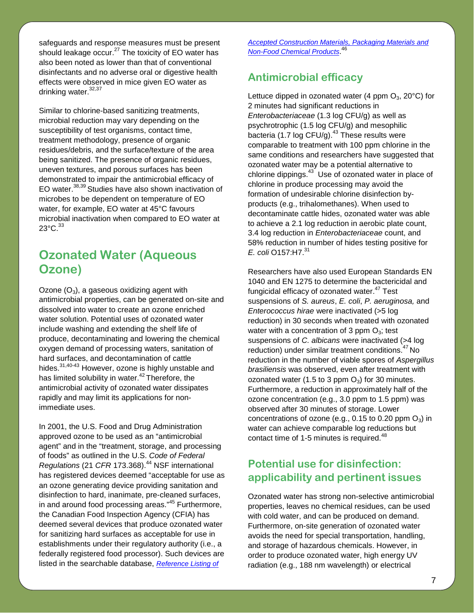safeguards and response measures must be present should leakage occur. $27$  The toxicity of EO water has also been noted as lower than that of conventional disinfectants and no adverse oral or digestive health effects were observed in mice given EO water as drinking water.<sup>32,37</sup>

Similar to chlorine-based sanitizing treatments, microbial reduction may vary depending on the susceptibility of test organisms, contact time, treatment methodology, presence of organic residues/debris, and the surface/texture of the area being sanitized. The presence of organic residues, uneven textures, and porous surfaces has been demonstrated to impair the antimicrobial efficacy of EO water. 38,39 Studies have also shown inactivation of microbes to be dependent on temperature of EO water, for example, EO water at 45°C favours microbial inactivation when compared to EO water at  $23^{\circ}$ C. $33^{\circ}$ 

#### **Ozonated Water (Aqueous Ozone)**

Ozone  $(O_3)$ , a gaseous oxidizing agent with antimicrobial properties, can be generated on-site and dissolved into water to create an ozone enriched water solution. Potential uses of ozonated water include washing and extending the shelf life of produce, decontaminating and lowering the chemical oxygen demand of processing waters, sanitation of hard surfaces, and decontamination of cattle hides.<sup>31,40-43</sup> However, ozone is highly unstable and has limited solubility in water.<sup>42</sup> Therefore, the antimicrobial activity of ozonated water dissipates rapidly and may limit its applications for nonimmediate uses.

In 2001, the U.S. Food and Drug Administration approved ozone to be used as an "antimicrobial agent" and in the "treatment, storage, and processing of foods" as outlined in the U.S. *Code of Federal Regulations* (21 *CFR* 173.368). <sup>44</sup> NSF international has registered devices deemed "acceptable for use as an ozone generating device providing sanitation and disinfection to hard, inanimate, pre-cleaned surfaces, in and around food processing areas."<sup>45</sup> Furthermore, the Canadian Food Inspection Agency (CFIA) has deemed several devices that produce ozonated water for sanitizing hard surfaces as acceptable for use in establishments under their regulatory authority (i.e., a federally registered food processor). Such devices are listed in the searchable database, *[Reference Listing of](http://active.inspection.gc.ca/scripts/fssa/reference/refsearec.asp?lang=e&c=1)* 

*[Accepted Construction Materials, Packaging Materials and](http://active.inspection.gc.ca/scripts/fssa/reference/refsearec.asp?lang=e&c=1)  [Non-Food Chemical Products](http://active.inspection.gc.ca/scripts/fssa/reference/refsearec.asp?lang=e&c=1)* . 46

#### **Antimicrobial efficacy**

Lettuce dipped in ozonated water (4 ppm  $O_3$ , 20 $^{\circ}$ C) for 2 minutes had significant reductions in *Enterobacteriaceae* (1.3 log CFU/g) as well as psychrotrophic (1.5 log CFU/g) and mesophilic bacteria (1.7 log CFU/g).<sup>43</sup> These results were comparable to treatment with 100 ppm chlorine in the same conditions and researchers have suggested that ozonated water may be a potential alternative to chlorine dippings.<sup>43</sup> Use of ozonated water in place of chlorine in produce processing may avoid the formation of undesirable chlorine disinfection byproducts (e.g., trihalomethanes). When used to decontaminate cattle hides, ozonated water was able to achieve a 2.1 log reduction in aerobic plate count, 3.4 log reduction in *Enterobacteriaceae* count, and 58% reduction in number of hides testing positive for *E. coli* O157:H7.<sup>31</sup>

Researchers have also used European Standards EN 1040 and EN 1275 to determine the bactericidal and fungicidal efficacy of ozonated water.<sup>47</sup> Test suspensions of *S. aureus*, *E. coli*, *P. aeruginosa,* and *Enterococcus hirae* were inactivated (>5 log reduction) in 30 seconds when treated with ozonated water with a concentration of 3 ppm  $O<sub>3</sub>$ ; test suspensions of *C. albicans* were inactivated (>4 log reduction) under similar treatment conditions.<sup>47</sup> No reduction in the number of viable spores of *Aspergillus brasiliensis* was observed, even after treatment with ozonated water (1.5 to 3 ppm  $O_3$ ) for 30 minutes. Furthermore, a reduction in approximately half of the ozone concentration (e.g., 3.0 ppm to 1.5 ppm) was observed after 30 minutes of storage. Lower concentrations of ozone (e.g.,  $0.15$  to  $0.20$  ppm  $O_3$ ) in water can achieve comparable log reductions but contact time of 1-5 minutes is required.<sup>48</sup>

#### **Potential use for disinfection: applicability and pertinent issues**

Ozonated water has strong non-selective antimicrobial properties, leaves no chemical residues, can be used with cold water, and can be produced on demand. Furthermore, on-site generation of ozonated water avoids the need for special transportation, handling, and storage of hazardous chemicals. However, in order to produce ozonated water, high energy UV radiation (e.g., 188 nm wavelength) or electrical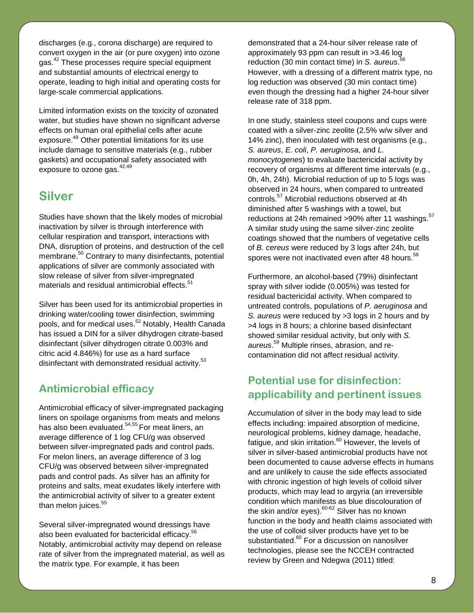discharges (e.g., corona discharge) are required to convert oxygen in the air (or pure oxygen) into ozone gas.<sup>42</sup> These processes require special equipment and substantial amounts of electrical energy to operate, leading to high initial and operating costs for large-scale commercial applications.

Limited information exists on the toxicity of ozonated water, but studies have shown no significant adverse effects on human oral epithelial cells after acute exposure. <sup>49</sup> Other potential limitations for its use include damage to sensitive materials (e.g., rubber gaskets) and occupational safety associated with exposure to ozone gas.<sup>42,49</sup>

#### **Silver**

Studies have shown that the likely modes of microbial inactivation by silver is through interference with cellular respiration and transport, interactions with DNA, disruption of proteins, and destruction of the cell membrane. <sup>50</sup> Contrary to many disinfectants, potential applications of silver are commonly associated with slow release of silver from silver-impregnated materials and residual antimicrobial effects. 51

Silver has been used for its antimicrobial properties in drinking water/cooling tower disinfection, swimming pools, and for medical uses. <sup>52</sup> Notably, Health Canada has issued a DIN for a silver dihydrogen citrate-based disinfectant (silver dihydrogen citrate 0.003% and citric acid 4.846%) for use as a hard surface disinfectant with demonstrated residual activity.<sup>53</sup>

#### **Antimicrobial efficacy**

Antimicrobial efficacy of silver-impregnated packaging liners on spoilage organisms from meats and melons has also been evaluated.<sup>54,55</sup> For meat liners, an average difference of 1 log CFU/g was observed between silver-impregnated pads and control pads. For melon liners, an average difference of 3 log CFU/g was observed between silver-impregnated pads and control pads. As silver has an affinity for proteins and salts, meat exudates likely interfere with the antimicrobial activity of silver to a greater extent than melon juices.<sup>55</sup>

Several silver-impregnated wound dressings have also been evaluated for bactericidal efficacy. 56 Notably, antimicrobial activity may depend on release rate of silver from the impregnated material, as well as the matrix type. For example, it has been

demonstrated that a 24-hour silver release rate of approximately 93 ppm can result in >3.46 log 56 reduction (30 min contact time) in *S. aureus*. However, with a dressing of a different matrix type, no log reduction was observed (30 min contact time) even though the dressing had a higher 24-hour silver release rate of 318 ppm.

In one study, stainless steel coupons and cups were coated with a silver-zinc zeolite (2.5% w/w silver and 14% zinc), then inoculated with test organisms (e.g., *S. aureus*, *E. coli*, *P. aeruginosa*, and *L. monocytogenes*) to evaluate bactericidal activity by recovery of organisms at different time intervals (e.g., 0h, 4h, 24h). Microbial reduction of up to 5 logs was observed in 24 hours, when compared to untreated controls.<sup>57</sup> Microbial reductions observed at 4h diminished after 5 washings with a towel, but reductions at 24h remained >90% after 11 washings.<sup>57</sup> A similar study using the same silver-zinc zeolite coatings showed that the numbers of vegetative cells of *B. cereus* were reduced by 3 logs after 24h, but spores were not inactivated even after 48 hours.<sup>58</sup>

Furthermore, an alcohol-based (79%) disinfectant spray with silver iodide (0.005%) was tested for residual bactericidal activity. When compared to untreated controls, populations of *P. aeruginosa* and *S. aureus* were reduced by >3 logs in 2 hours and by >4 logs in 8 hours; a chlorine based disinfectant showed similar residual activity, but only with *S. aureus*. <sup>59</sup> Multiple rinses, abrasion, and recontamination did not affect residual activity.

#### **Potential use for disinfection: applicability and pertinent issues**

Accumulation of silver in the body may lead to side effects including: impaired absorption of medicine, neurological problems, kidney damage, headache, fatigue, and skin irritation.<sup>60</sup> However, the levels of silver in silver-based antimicrobial products have not been documented to cause adverse effects in humans and are unlikely to cause the side effects associated with chronic ingestion of high levels of colloid silver products, which may lead to argyria (an irreversible condition which manifests as blue discolouration of the skin and/or eyes).<sup>60-62</sup> Silver has no known function in the body and health claims associated with the use of colloid silver products have yet to be substantiated.<sup>60</sup> For a discussion on nanosilver technologies, please see the NCCEH contracted review by Green and Ndegwa (2011) titled: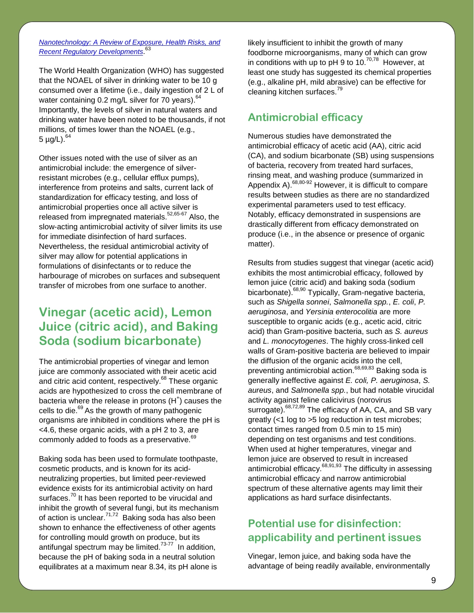*[Nanotechnology: A Review of Exposure, Health Risks, and](http://www.ncceh.ca/en/practice_policy/ncceh_reviews/nanotechnology_review)  [Recent Regulatory Developments](http://www.ncceh.ca/en/practice_policy/ncceh_reviews/nanotechnology_review)*. 63

The World Health Organization (WHO) has suggested that the NOAEL of silver in drinking water to be 10 g consumed over a lifetime (i.e., daily ingestion of 2 L of water containing 0.2 mg/L silver for 70 years). <sup>64</sup> Importantly, the levels of silver in natural waters and drinking water have been noted to be thousands, if not millions, of times lower than the NOAEL (e.g., 5 μg/L).<sup>64</sup>

Other issues noted with the use of silver as an antimicrobial include: the emergence of silverresistant microbes (e.g., cellular efflux pumps), interference from proteins and salts, current lack of standardization for efficacy testing, and loss of antimicrobial properties once all active silver is released from impregnated materials.<sup>52,65-67</sup> Also, the slow-acting antimicrobial activity of silver limits its use for immediate disinfection of hard surfaces. Nevertheless, the residual antimicrobial activity of silver may allow for potential applications in formulations of disinfectants or to reduce the harbourage of microbes on surfaces and subsequent transfer of microbes from one surface to another.

### **Vinegar (acetic acid), Lemon Juice (citric acid), and Baking Soda (sodium bicarbonate)**

The antimicrobial properties of vinegar and lemon juice are commonly associated with their acetic acid and citric acid content, respectively.<sup>68</sup> These organic acids are hypothesized to cross the cell membrane of bacteria where the release in protons  $(H<sup>+</sup>)$  causes the cells to die.<sup>69</sup> As the growth of many pathogenic organisms are inhibited in conditions where the pH is <4.6, these organic acids, with a pH 2 to 3, are commonly added to foods as a preservative. 69

Baking soda has been used to formulate toothpaste, cosmetic products, and is known for its acidneutralizing properties, but limited peer-reviewed evidence exists for its antimicrobial activity on hard surfaces.<sup>70</sup> It has been reported to be virucidal and inhibit the growth of several fungi, but its mechanism of action is unclear.<sup>71,72</sup> Baking soda has also been shown to enhance the effectiveness of other agents for controlling mould growth on produce, but its antifungal spectrum may be limited.<sup>73-77</sup> In addition, because the pH of baking soda in a neutral solution equilibrates at a maximum near 8.34, its pH alone is

likely insufficient to inhibit the growth of many foodborne microorganisms, many of which can grow in conditions with up to pH 9 to 10. $^{70,78}$  However, at least one study has suggested its chemical properties (e.g., alkaline pH, mild abrasive) can be effective for cleaning kitchen surfaces.<sup>79</sup>

#### **Antimicrobial efficacy**

Numerous studies have demonstrated the antimicrobial efficacy of acetic acid (AA), citric acid (CA), and sodium bicarbonate (SB) using suspensions of bacteria, recovery from treated hard surfaces, rinsing meat, and washing produce (summarized in Appendix A).<sup>68,80-92</sup> However, it is difficult to compare results between studies as there are no standardized experimental parameters used to test efficacy. Notably, efficacy demonstrated in suspensions are drastically different from efficacy demonstrated on produce (i.e., in the absence or presence of organic matter).

Results from studies suggest that vinegar (acetic acid) exhibits the most antimicrobial efficacy, followed by lemon juice (citric acid) and baking soda (sodium bicarbonate).<sup>68,90</sup> Typically, Gram-negative bacteria, such as *Shigella sonnei*, *Salmonella spp.*, *E. coli*, *P. aeruginosa*, and *Yersinia enterocolitia* are more susceptible to organic acids (e.g., acetic acid, citric acid) than Gram-positive bacteria, such as *S. aureus* and *L. monocytogenes*. The highly cross-linked cell walls of Gram-positive bacteria are believed to impair the diffusion of the organic acids into the cell, preventing antimicrobial action. 68,69,83 Baking soda is generally ineffective against *E. coli, P. aeruginosa*, *S. aureus*, and *Salmonella spp.*, but had notable virucidal activity against feline calicivirus (norovirus surrogate).<sup>68,72,89</sup> The efficacy of AA, CA, and SB vary greatly (<1 log to >5 log reduction in test microbes; contact times ranged from 0.5 min to 15 min) depending on test organisms and test conditions. When used at higher temperatures, vinegar and lemon juice are observed to result in increased antimicrobial efficacy.<sup>68,91,93</sup> The difficulty in assessing antimicrobial efficacy and narrow antimicrobial spectrum of these alternative agents may limit their applications as hard surface disinfectants.

#### **Potential use for disinfection: applicability and pertinent issues**

Vinegar, lemon juice, and baking soda have the advantage of being readily available, environmentally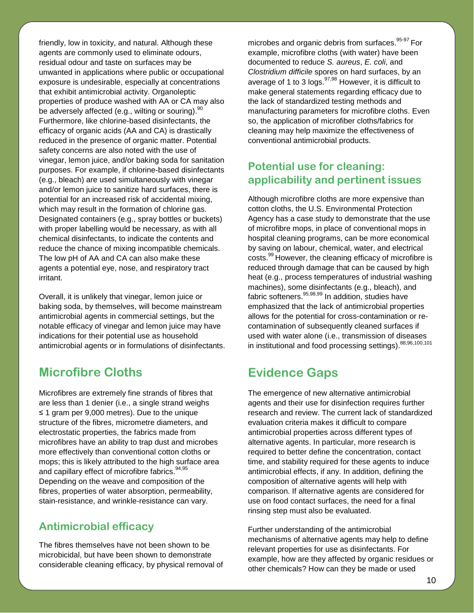friendly, low in toxicity, and natural. Although these agents are commonly used to eliminate odours, residual odour and taste on surfaces may be unwanted in applications where public or occupational exposure is undesirable, especially at concentrations that exhibit antimicrobial activity. Organoleptic properties of produce washed with AA or CA may also be adversely affected (e.g., wilting or souring).<sup>90</sup> Furthermore, like chlorine-based disinfectants, the efficacy of organic acids (AA and CA) is drastically reduced in the presence of organic matter. Potential safety concerns are also noted with the use of vinegar, lemon juice, and/or baking soda for sanitation purposes. For example, if chlorine-based disinfectants (e.g., bleach) are used simultaneously with vinegar and/or lemon juice to sanitize hard surfaces, there is potential for an increased risk of accidental mixing, which may result in the formation of chlorine gas. Designated containers (e.g., spray bottles or buckets) with proper labelling would be necessary, as with all chemical disinfectants, to indicate the contents and reduce the chance of mixing incompatible chemicals. The low pH of AA and CA can also make these agents a potential eye, nose, and respiratory tract irritant.

Overall, it is unlikely that vinegar, lemon juice or baking soda, by themselves, will become mainstream antimicrobial agents in commercial settings, but the notable efficacy of vinegar and lemon juice may have indications for their potential use as household antimicrobial agents or in formulations of disinfectants.

### **Microfibre Cloths**

Microfibres are extremely fine strands of fibres that are less than 1 denier (i.e., a single strand weighs ≤ 1 gram per 9,000 metres). Due to the unique structure of the fibres, micrometre diameters, and electrostatic properties, the fabrics made from microfibres have an ability to trap dust and microbes more effectively than conventional cotton cloths or mops; this is likely attributed to the high surface area and capillary effect of microfibre fabrics.<sup>94,95</sup> Depending on the weave and composition of the fibres, properties of water absorption, permeability, stain-resistance, and wrinkle-resistance can vary.

#### **Antimicrobial efficacy**

The fibres themselves have not been shown to be microbicidal, but have been shown to demonstrate considerable cleaning efficacy, by physical removal of

microbes and organic debris from surfaces. 95-97 For example, microfibre cloths (with water) have been documented to reduce *S. aureus*, *E. coli*, and *Clostridium difficile* spores on hard surfaces, by an average of 1 to 3 logs.<sup>97,98</sup> However, it is difficult to make general statements regarding efficacy due to the lack of standardized testing methods and manufacturing parameters for microfibre cloths. Even so, the application of microfiber cloths/fabrics for cleaning may help maximize the effectiveness of conventional antimicrobial products.

#### **Potential use for cleaning: applicability and pertinent issues**

Although microfibre cloths are more expensive than cotton cloths, the U.S. Environmental Protection Agency has a case study to demonstrate that the use of microfibre mops, in place of conventional mops in hospital cleaning programs, can be more economical by saving on labour, chemical, water, and electrical costs.<sup>99</sup> However, the cleaning efficacy of microfibre is reduced through damage that can be caused by high heat (e.g., process temperatures of industrial washing machines), some disinfectants (e.g., bleach), and fabric softeners.<sup>95,98,99</sup> In addition, studies have emphasized that the lack of antimicrobial properties allows for the potential for cross-contamination or recontamination of subsequently cleaned surfaces if used with water alone (i.e., transmission of diseases in institutional and food processing settings).  $88,96,100,101$ 

### **Evidence Gaps**

The emergence of new alternative antimicrobial agents and their use for disinfection requires further research and review. The current lack of standardized evaluation criteria makes it difficult to compare antimicrobial properties across different types of alternative agents. In particular, more research is required to better define the concentration, contact time, and stability required for these agents to induce antimicrobial effects, if any. In addition, defining the composition of alternative agents will help with comparison. If alternative agents are considered for use on food contact surfaces, the need for a final rinsing step must also be evaluated.

Further understanding of the antimicrobial mechanisms of alternative agents may help to define relevant properties for use as disinfectants. For example, how are they affected by organic residues or other chemicals? How can they be made or used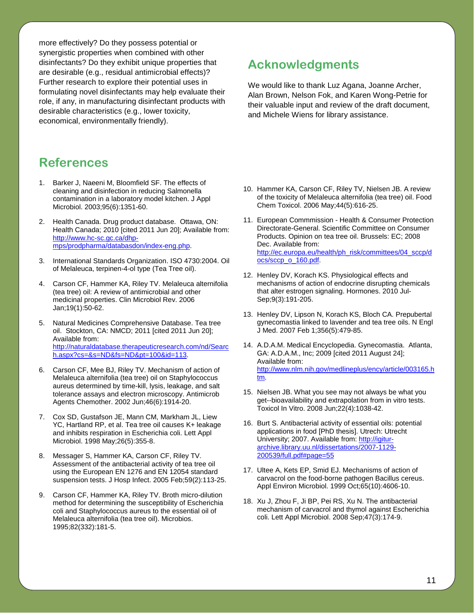more effectively? Do they possess potential or synergistic properties when combined with other disinfectants? Do they exhibit unique properties that are desirable (e.g., residual antimicrobial effects)? Further research to explore their potential uses in formulating novel disinfectants may help evaluate their role, if any, in manufacturing disinfectant products with desirable characteristics (e.g., lower toxicity, economical, environmentally friendly).

#### **References**

- 1. Barker J, Naeeni M, Bloomfield SF. The effects of cleaning and disinfection in reducing Salmonella contamination in a laboratory model kitchen. J Appl Microbiol. 2003;95(6):1351-60.
- 2. Health Canada. Drug product database. Ottawa, ON: Health Canada; 2010 [cited 2011 Jun 20]; Available from: [http://www.hc-sc.gc.ca/dhp](http://www.hc-sc.gc.ca/dhp-mps/prodpharma/databasdon/index-eng.php)[mps/prodpharma/databasdon/index-eng.php.](http://www.hc-sc.gc.ca/dhp-mps/prodpharma/databasdon/index-eng.php)
- 3. International Standards Organization. ISO 4730:2004. Oil of Melaleuca, terpinen-4-ol type (Tea Tree oil).
- 4. Carson CF, Hammer KA, Riley TV. Melaleuca alternifolia (tea tree) oil: A review of antimicrobial and other medicinal properties. Clin Microbiol Rev. 2006 Jan;19(1):50-62.
- 5. Natural Medicines Comprehensive Database. Tea tree oil. Stockton, CA: NMCD; 2011 [cited 2011 Jun 20]; Available from: [http://naturaldatabase.therapeuticresearch.com/nd/Searc](http://naturaldatabase.therapeuticresearch.com/nd/Search.aspx?cs=&s=ND&fs=ND&pt=100&id=113) [h.aspx?cs=&s=ND&fs=ND&pt=100&id=113.](http://naturaldatabase.therapeuticresearch.com/nd/Search.aspx?cs=&s=ND&fs=ND&pt=100&id=113)
- 6. Carson CF, Mee BJ, Riley TV. Mechanism of action of Melaleuca alternifolia (tea tree) oil on Staphylococcus aureus determined by time-kill, lysis, leakage, and salt tolerance assays and electron microscopy. Antimicrob Agents Chemother. 2002 Jun;46(6):1914-20.
- 7. Cox SD, Gustafson JE, Mann CM, Markham JL, Liew YC, Hartland RP, et al. Tea tree oil causes K+ leakage and inhibits respiration in Escherichia coli. Lett Appl Microbiol. 1998 May;26(5):355-8.
- 8. Messager S, Hammer KA, Carson CF, Riley TV. Assessment of the antibacterial activity of tea tree oil using the European EN 1276 and EN 12054 standard suspension tests. J Hosp Infect. 2005 Feb;59(2):113-25.
- 9. Carson CF, Hammer KA, Riley TV. Broth micro-dilution method for determining the susceptibility of Escherichia coli and Staphylococcus aureus to the essential oil of Melaleuca alternifolia (tea tree oil). Microbios. 1995;82(332):181-5.

### **Acknowledgments**

We would like to thank Luz Agana, Joanne Archer, Alan Brown, Nelson Fok, and Karen Wong-Petrie for their valuable input and review of the draft document, and Michele Wiens for library assistance.

- 10. Hammer KA, Carson CF, Riley TV, Nielsen JB. A review of the toxicity of Melaleuca alternifolia (tea tree) oil. Food Chem Toxicol. 2006 May;44(5):616-25.
- 11. European Commmission Health & Consumer Protection Directorate-General. Scientific Committee on Consumer Products. Opinion on tea tree oil. Brussels: EC; 2008 Dec. Available from: [http://ec.europa.eu/health/ph\\_risk/committees/04\\_sccp/d](http://ec.europa.eu/health/ph_risk/committees/04_sccp/docs/sccp_o_160.pdf) [ocs/sccp\\_o\\_160.pdf.](http://ec.europa.eu/health/ph_risk/committees/04_sccp/docs/sccp_o_160.pdf)
- 12. Henley DV, Korach KS. Physiological effects and mechanisms of action of endocrine disrupting chemicals that alter estrogen signaling. Hormones. 2010 Jul-Sep;9(3):191-205.
- 13. Henley DV, Lipson N, Korach KS, Bloch CA. Prepubertal gynecomastia linked to lavender and tea tree oils. N Engl J Med. 2007 Feb 1;356(5):479-85.
- 14. A.D.A.M. Medical Encyclopedia. Gynecomastia. Atlanta, GA: A.D.A.M., Inc; 2009 [cited 2011 August 24]; Available from: [http://www.nlm.nih.gov/medlineplus/ency/article/003165.h](http://www.nlm.nih.gov/medlineplus/ency/article/003165.htm) [tm.](http://www.nlm.nih.gov/medlineplus/ency/article/003165.htm)
- 15. Nielsen JB. What you see may not always be what you get--bioavailability and extrapolation from in vitro tests. Toxicol In Vitro. 2008 Jun;22(4):1038-42.
- 16. Burt S. Antibacterial activity of essential oils: potential applications in food [PhD thesis]. Utrech: Utrecht University; 2007. Available from[: http://igitur](http://igitur-archive.library.uu.nl/dissertations/2007-1129-200539/full.pdf#page=55)[archive.library.uu.nl/dissertations/2007-1129-](http://igitur-archive.library.uu.nl/dissertations/2007-1129-200539/full.pdf#page=55) [200539/full.pdf#page=55](http://igitur-archive.library.uu.nl/dissertations/2007-1129-200539/full.pdf#page=55)
- 17. Ultee A, Kets EP, Smid EJ. Mechanisms of action of carvacrol on the food-borne pathogen Bacillus cereus. Appl Environ Microbiol. 1999 Oct;65(10):4606-10.
- 18. Xu J, Zhou F, Ji BP, Pei RS, Xu N. The antibacterial mechanism of carvacrol and thymol against Escherichia coli. Lett Appl Microbiol. 2008 Sep;47(3):174-9.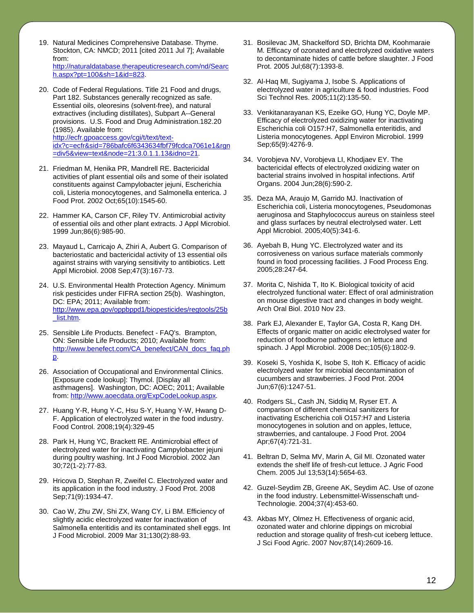- 19. Natural Medicines Comprehensive Database. Thyme. Stockton, CA: NMCD; 2011 [cited 2011 Jul 7]; Available from: [http://naturaldatabase.therapeuticresearch.com/nd/Searc](http://naturaldatabase.therapeuticresearch.com/nd/Search.aspx?pt=100&sh=1&id=823) [h.aspx?pt=100&sh=1&id=823.](http://naturaldatabase.therapeuticresearch.com/nd/Search.aspx?pt=100&sh=1&id=823)
- 20. Code of Federal Regulations. Title 21 Food and drugs, Part 182. Substances generally recognized as safe. Essential oils, oleoresins (solvent-free), and natural extractives (including distillates), Subpart A--General provisions. U.S. Food and Drug Administration.182.20 (1985). Available from: [http://ecfr.gpoaccess.gov/cgi/t/text/text](http://ecfr.gpoaccess.gov/cgi/t/text/text-idx?c=ecfr&sid=786bafc6f6343634fbf79fcdca7061e1&rgn=div5&view=text&node=21:3.0.1.1.13&idno=21)[idx?c=ecfr&sid=786bafc6f6343634fbf79fcdca7061e1&rgn](http://ecfr.gpoaccess.gov/cgi/t/text/text-idx?c=ecfr&sid=786bafc6f6343634fbf79fcdca7061e1&rgn=div5&view=text&node=21:3.0.1.1.13&idno=21) [=div5&view=text&node=21:3.0.1.1.13&idno=21.](http://ecfr.gpoaccess.gov/cgi/t/text/text-idx?c=ecfr&sid=786bafc6f6343634fbf79fcdca7061e1&rgn=div5&view=text&node=21:3.0.1.1.13&idno=21)
- 21. Friedman M, Henika PR, Mandrell RE. Bactericidal activities of plant essential oils and some of their isolated constituents against Campylobacter jejuni, Escherichia coli, Listeria monocytogenes, and Salmonella enterica. J Food Prot. 2002 Oct;65(10):1545-60.
- 22. Hammer KA, Carson CF, Riley TV. Antimicrobial activity of essential oils and other plant extracts. J Appl Microbiol. 1999 Jun;86(6):985-90.
- 23. Mayaud L, Carricajo A, Zhiri A, Aubert G. Comparison of bacteriostatic and bactericidal activity of 13 essential oils against strains with varying sensitivity to antibiotics. Lett Appl Microbiol. 2008 Sep;47(3):167-73.
- 24. U.S. Environmental Health Protection Agency. Minimum risk pesticides under FIFRA section 25(b). Washington, DC: EPA; 2011; Available from: [http://www.epa.gov/oppbppd1/biopesticides/regtools/25b](http://www.epa.gov/oppbppd1/biopesticides/regtools/25b_list.htm) [\\_list.htm.](http://www.epa.gov/oppbppd1/biopesticides/regtools/25b_list.htm)
- 25. Sensible Life Products. Benefect FAQ's. Brampton, ON: Sensible Life Products; 2010; Available from: [http://www.benefect.com/CA\\_benefect/CAN\\_docs\\_faq.ph](http://www.benefect.com/CA_benefect/CAN_docs_faq.php) [p.](http://www.benefect.com/CA_benefect/CAN_docs_faq.php)
- 26. Association of Occupational and Environmental Clinics. [Exposure code lookup]: Thymol. [Display all asthmagens]. Washington, DC: AOEC; 2011; Available from: [http://www.aoecdata.org/ExpCodeLookup.aspx.](http://www.aoecdata.org/ExpCodeLookup.aspx)
- 27. Huang Y-R, Hung Y-C, Hsu S-Y, Huang Y-W, Hwang D-F. Application of electrolyzed water in the food industry. Food Control. 2008;19(4):329-45
- 28. Park H, Hung YC, Brackett RE. Antimicrobial effect of electrolyzed water for inactivating Campylobacter jejuni during poultry washing. Int J Food Microbiol. 2002 Jan 30;72(1-2):77-83.
- 29. Hricova D, Stephan R, Zweifel C. Electrolyzed water and its application in the food industry. J Food Prot. 2008 Sep;71(9):1934-47.
- 30. Cao W, Zhu ZW, Shi ZX, Wang CY, Li BM. Efficiency of slightly acidic electrolyzed water for inactivation of Salmonella enteritidis and its contaminated shell eggs. Int J Food Microbiol. 2009 Mar 31;130(2):88-93.
- 31. Bosilevac JM, Shackelford SD, Brichta DM, Koohmaraie M. Efficacy of ozonated and electrolyzed oxidative waters to decontaminate hides of cattle before slaughter. J Food Prot. 2005 Jul;68(7):1393-8.
- 32. Al-Haq MI, Sugiyama J, Isobe S. Applications of electrolyzed water in agriculture & food industries. Food Sci Technol Res. 2005;11(2):135-50.
- 33. Venkitanarayanan KS, Ezeike GO, Hung YC, Doyle MP. Efficacy of electrolyzed oxidizing water for inactivating Escherichia coli O157:H7, Salmonella enteritidis, and Listeria monocytogenes. Appl Environ Microbiol. 1999 Sep;65(9):4276-9.
- 34. Vorobjeva NV, Vorobjeva LI, Khodjaev EY. The bactericidal effects of electrolyzed oxidizing water on bacterial strains involved in hospital infections. Artif Organs. 2004 Jun;28(6):590-2.
- 35. Deza MA, Araujo M, Garrido MJ. Inactivation of Escherichia coli, Listeria monocytogenes, Pseudomonas aeruginosa and Staphylococcus aureus on stainless steel and glass surfaces by neutral electrolysed water. Lett Appl Microbiol. 2005;40(5):341-6.
- 36. Ayebah B, Hung YC. Electrolyzed water and its corrosiveness on various surface materials commonly found in food processing facilities. J Food Process Eng. 2005;28:247-64.
- 37. Morita C, Nishida T, Ito K. Biological toxicity of acid electrolyzed functional water: Effect of oral administration on mouse digestive tract and changes in body weight. Arch Oral Biol. 2010 Nov 23.
- 38. Park EJ, Alexander E, Taylor GA, Costa R, Kang DH. Effects of organic matter on acidic electrolysed water for reduction of foodborne pathogens on lettuce and spinach. J Appl Microbiol. 2008 Dec;105(6):1802-9.
- 39. Koseki S, Yoshida K, Isobe S, Itoh K. Efficacy of acidic electrolyzed water for microbial decontamination of cucumbers and strawberries. J Food Prot. 2004 Jun;67(6):1247-51.
- 40. Rodgers SL, Cash JN, Siddiq M, Ryser ET. A comparison of different chemical sanitizers for inactivating Escherichia coli O157:H7 and Listeria monocytogenes in solution and on apples, lettuce, strawberries, and cantaloupe. J Food Prot. 2004 Apr;67(4):721-31.
- 41. Beltran D, Selma MV, Marin A, Gil MI. Ozonated water extends the shelf life of fresh-cut lettuce. J Agric Food Chem. 2005 Jul 13;53(14):5654-63.
- 42. Guzel-Seydim ZB, Greene AK, Seydim AC. Use of ozone in the food industry. Lebensmittel-Wissenschaft und-Technologie. 2004;37(4):453-60.
- 43. Akbas MY, Olmez H. Effectiveness of organic acid, ozonated water and chlorine dippings on microbial reduction and storage quality of fresh-cut iceberg lettuce. J Sci Food Agric. 2007 Nov;87(14):2609-16.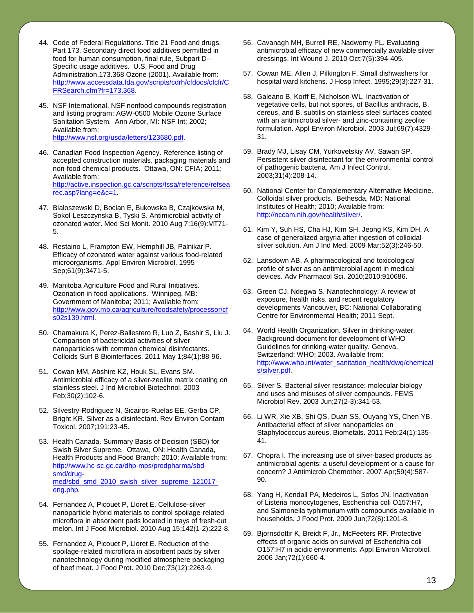- 44. Code of Federal Regulations. Title 21 Food and drugs, Part 173. Secondary direct food additives permitted in food for human consumption, final rule, Subpart D-- Specific usage additives. U.S. Food and Drug Administration.173.368 Ozone (2001). Available from: [http://www.accessdata.fda.gov/scripts/cdrh/cfdocs/cfcfr/C](http://www.accessdata.fda.gov/scripts/cdrh/cfdocs/cfcfr/CFRSearch.cfm?fr=173.368) [FRSearch.cfm?fr=173.368.](http://www.accessdata.fda.gov/scripts/cdrh/cfdocs/cfcfr/CFRSearch.cfm?fr=173.368)
- 45. NSF International. NSF nonfood compounds registration and listing program: AGW-0500 Mobile Ozone Surface Sanitation System. Ann Arbor, MI: NSF Int; 2002; Available from: [http://www.nsf.org/usda/letters/123680.pdf.](http://www.nsf.org/usda/letters/123680.pdf)
- 46. Canadian Food Inspection Agency. Reference listing of accepted construction materials, packaging materials and non-food chemical products. Ottawa, ON: CFIA; 2011; Available from: [http://active.inspection.gc.ca/scripts/fssa/reference/refsea](http://active.inspection.gc.ca/scripts/fssa/reference/refsearec.asp?lang=e&c=1) [rec.asp?lang=e&c=1.](http://active.inspection.gc.ca/scripts/fssa/reference/refsearec.asp?lang=e&c=1)
- 47. Bialoszewski D, Bocian E, Bukowska B, Czajkowska M, Sokol-Leszczynska B, Tyski S. Antimicrobial activity of ozonated water. Med Sci Monit. 2010 Aug 7;16(9):MT71- 5.
- 48. Restaino L, Frampton EW, Hemphill JB, Palnikar P. Efficacy of ozonated water against various food-related microorganisms. Appl Environ Microbiol. 1995 Sep;61(9):3471-5.
- 49. Manitoba Agriculture Food and Rural Initiatives. Ozonation in food applications. Winnipeg, MB: Government of Manitoba; 2011; Available from: [http://www.gov.mb.ca/agriculture/foodsafety/processor/cf](http://www.gov.mb.ca/agriculture/foodsafety/processor/cfs02s139.html) [s02s139.html.](http://www.gov.mb.ca/agriculture/foodsafety/processor/cfs02s139.html)
- 50. Chamakura K, Perez-Ballestero R, Luo Z, Bashir S, Liu J. Comparison of bactericidal activities of silver nanoparticles with common chemical disinfectants. Colloids Surf B Biointerfaces. 2011 May 1;84(1):88-96.
- 51. Cowan MM, Abshire KZ, Houk SL, Evans SM. Antimicrobial efficacy of a silver-zeolite matrix coating on stainless steel. J Ind Microbiol Biotechnol. 2003 Feb;30(2):102-6.
- 52. Silvestry-Rodriguez N, Sicairos-Ruelas EE, Gerba CP, Bright KR. Silver as a disinfectant. Rev Environ Contam Toxicol. 2007;191:23-45.
- 53. Health Canada. Summary Basis of Decision (SBD) for Swish Silver Supreme. Ottawa, ON: Health Canada, Health Products and Food Branch; 2010; Available from: [http://www.hc-sc.gc.ca/dhp-mps/prodpharma/sbd](http://www.hc-sc.gc.ca/dhp-mps/prodpharma/sbd-smd/drug-med/sbd_smd_2010_swish_silver_supreme_121017-eng.php)[smd/drug](http://www.hc-sc.gc.ca/dhp-mps/prodpharma/sbd-smd/drug-med/sbd_smd_2010_swish_silver_supreme_121017-eng.php)[med/sbd\\_smd\\_2010\\_swish\\_silver\\_supreme\\_121017](http://www.hc-sc.gc.ca/dhp-mps/prodpharma/sbd-smd/drug-med/sbd_smd_2010_swish_silver_supreme_121017-eng.php) [eng.php.](http://www.hc-sc.gc.ca/dhp-mps/prodpharma/sbd-smd/drug-med/sbd_smd_2010_swish_silver_supreme_121017-eng.php)
- 54. Fernandez A, Picouet P, Lloret E. Cellulose-silver nanoparticle hybrid materials to control spoilage-related microflora in absorbent pads located in trays of fresh-cut melon. Int J Food Microbiol. 2010 Aug 15;142(1-2):222-8.
- 55. Fernandez A, Picouet P, Lloret E. Reduction of the spoilage-related microflora in absorbent pads by silver nanotechnology during modified atmosphere packaging of beef meat. J Food Prot. 2010 Dec;73(12):2263-9.
- 56. Cavanagh MH, Burrell RE, Nadworny PL. Evaluating antimicrobial efficacy of new commercially available silver dressings. Int Wound J. 2010 Oct;7(5):394-405.
- 57. Cowan ME, Allen J, Pilkington F. Small dishwashers for hospital ward kitchens. J Hosp Infect. 1995;29(3):227-31.
- 58. Galeano B, Korff E, Nicholson WL. Inactivation of vegetative cells, but not spores, of Bacillus anthracis, B. cereus, and B. subtilis on stainless steel surfaces coated with an antimicrobial silver- and zinc-containing zeolite formulation. Appl Environ Microbiol. 2003 Jul;69(7):4329- 31.
- 59. Brady MJ, Lisay CM, Yurkovetskiy AV, Sawan SP. Persistent silver disinfectant for the environmental control of pathogenic bacteria. Am J Infect Control. 2003;31(4):208-14.
- 60. National Center for Complementary Alternative Medicine. Colloidal silver products. Bethesda, MD: National Institutes of Health; 2010; Available from: [http://nccam.nih.gov/health/silver/.](http://nccam.nih.gov/health/silver/)
- 61. Kim Y, Suh HS, Cha HJ, Kim SH, Jeong KS, Kim DH. A case of generalized argyria after ingestion of colloidal silver solution. Am J Ind Med. 2009 Mar;52(3):246-50.
- 62. Lansdown AB. A pharmacological and toxicological profile of silver as an antimicrobial agent in medical devices. Adv Pharmacol Sci. 2010;2010:910686.
- 63. Green CJ, Ndegwa S. Nanotechnology: A review of exposure, health risks, and recent regulatory developments Vancouver, BC: National Collaborating Centre for Environmental Health; 2011 Sept.
- 64. World Health Organization. Silver in drinking-water. Background document for development of WHO Guidelines for drinking-water quality. Geneva, Switzerland: WHO; 2003. Available from: [http://www.who.int/water\\_sanitation\\_health/dwq/chemical](http://www.who.int/water_sanitation_health/dwq/chemicals/silver.pdf) [s/silver.pdf.](http://www.who.int/water_sanitation_health/dwq/chemicals/silver.pdf)
- 65. Silver S. Bacterial silver resistance: molecular biology and uses and misuses of silver compounds. FEMS Microbiol Rev. 2003 Jun;27(2-3):341-53.
- 66. Li WR, Xie XB, Shi QS, Duan SS, Ouyang YS, Chen YB. Antibacterial effect of silver nanoparticles on Staphylococcus aureus. Biometals. 2011 Feb;24(1):135- 41.
- 67. Chopra I. The increasing use of silver-based products as antimicrobial agents: a useful development or a cause for concern? J Antimicrob Chemother. 2007 Apr;59(4):587- 90.
- 68. Yang H, Kendall PA, Medeiros L, Sofos JN. Inactivation of Listeria monocytogenes, Escherichia coli O157:H7, and Salmonella typhimurium with compounds available in households. J Food Prot. 2009 Jun;72(6):1201-8.
- 69. Bjornsdottir K, Breidt F, Jr., McFeeters RF. Protective effects of organic acids on survival of Escherichia coli O157:H7 in acidic environments. Appl Environ Microbiol. 2006 Jan;72(1):660-4.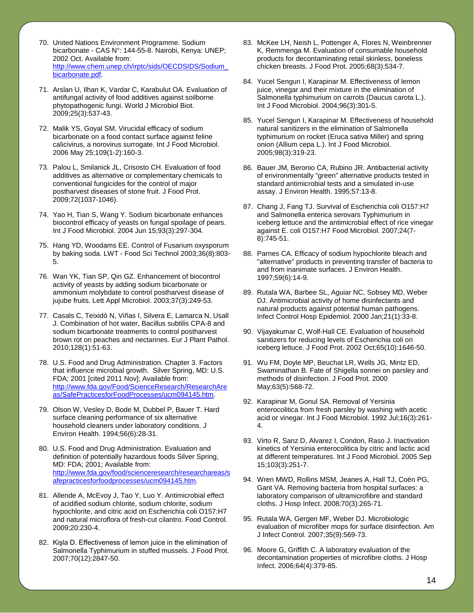- 70. United Nations Environment Programme. Sodium bicarbonate - CAS N°: 144-55-8. Nairobi, Kenya: UNEP; 2002 Oct. Available from: [http://www.chem.unep.ch/irptc/sids/OECDSIDS/Sodium\\_](http://www.chem.unep.ch/irptc/sids/OECDSIDS/Sodium_bicarbonate.pdf) [bicarbonate.pdf.](http://www.chem.unep.ch/irptc/sids/OECDSIDS/Sodium_bicarbonate.pdf)
- 71. Arslan U, Ilhan K, Vardar C, Karabulut OA. Evaluation of antifungal activity of food additives against soilborne phytopathogenic fungi. World J Microbiol Biot. 2009;25(3):537-43.
- 72. Malik YS, Goyal SM. Virucidal efficacy of sodium bicarbonate on a food contact surface against feline calicivirus, a norovirus surrogate. Int J Food Microbiol. 2006 May 25;109(1-2):160-3.
- 73. Palou L, Smilanick JL, Crisosto CH. Evaluation of food additives as alternative or complementary chemicals to conventional fungicides for the control of major postharvest diseases of stone fruit. J Food Prot. 2009;72(1037-1046).
- 74. Yao H, Tian S, Wang Y. Sodium bicarbonate enhances biocontrol efficacy of yeasts on fungal spoilage of pears. Int J Food Microbiol. 2004 Jun 15;93(3):297-304.
- 75. Hang YD, Woodams EE. Control of Fusarium oxysporum by baking soda. LWT - Food Sci Technol 2003;36(8):803- 5.
- 76. Wan YK, Tian SP, Qin GZ. Enhancement of biocontrol activity of yeasts by adding sodium bicarbonate or ammonium molybdate to control postharvest disease of jujube fruits. Lett Appl Microbiol. 2003;37(3):249-53.
- 77. Casals C, Teixidó N, Viñas I, Silvera E, Lamarca N, Usall J. Combination of hot water, Bacillus subtilis CPA-8 and sodium bicarbonate treatments to control postharvest brown rot on peaches and nectarines. Eur J Plant Pathol. 2010;128(1):51-63.
- 78. U.S. Food and Drug Administration. Chapter 3. Factors that influence microbial growth. Silver Spring, MD: U.S. FDA; 2001 [cited 2011 Nov]; Available from: [http://www.fda.gov/Food/ScienceResearch/ResearchAre](http://www.fda.gov/Food/ScienceResearch/ResearchAreas/SafePracticesforFoodProcesses/ucm094145.htm) [as/SafePracticesforFoodProcesses/ucm094145.htm.](http://www.fda.gov/Food/ScienceResearch/ResearchAreas/SafePracticesforFoodProcesses/ucm094145.htm)
- 79. Olson W, Vesley D, Bode M, Dubbel P, Bauer T. Hard surface cleaning performance of six alternative household cleaners under laboratory conditions. J Environ Health. 1994;56(6):28-31.
- 80. U.S. Food and Drug Administration. Evaluation and definition of potentially hazardous foods Silver Spring, MD: FDA; 2001; Available from: [http://www.fda.gov/food/scienceresearch/researchareas/s](http://www.fda.gov/food/scienceresearch/researchareas/safepracticesforfoodprocesses/ucm094145.htm) [afepracticesforfoodprocesses/ucm094145.htm.](http://www.fda.gov/food/scienceresearch/researchareas/safepracticesforfoodprocesses/ucm094145.htm)
- 81. Allende A, McEvoy J, Tao Y, Luo Y. Antimicrobial effect of acidified sodium chlorite, sodium chlorite, sodium hypochlorite, and citric acid on Escherichia coli O157:H7 and natural microflora of fresh-cut cilantro. Food Control. 2009;20:230-4.
- 82. Kişla D. Effectiveness of lemon juice in the elimination of Salmonella Typhimurium in stuffed mussels. J Food Prot. 2007;70(12):2847-50.
- 83. McKee LH, Neish L, Pottenger A, Flores N, Weinbrenner K, Remmenga M. Evaluation of consumable household products for decontaminating retail skinless, boneless chicken breasts. J Food Prot. 2005;68(3):534-7.
- 84. Yucel Sengun I, Karapinar M. Effectiveness of lemon juice, vinegar and their mixture in the elimination of Salmonella typhimurium on carrots (Daucus carota L.). Int J Food Microbiol. 2004;96(3):301-5.
- 85. Yucel Sengun I, Karapinar M. Effectiveness of household natural sanitizers in the elimination of Salmonella typhimurium on rocket (Eruca sativa Miller) and spring onion (Allium cepa L.). Int J Food Microbiol. 2005;98(3):319-23.
- 86. Bauer JM, Beronio CA, Rubino JR. Antibacterial activity of environmentally "green" alternative products tested in standard antimicrobial tests and a simulated in-use assay. J Environ Health. 1995;57:13-8.
- 87. Chang J, Fang TJ. Survival of Escherichia coli O157:H7 and Salmonella enterica serovars Typhimurium in iceberg lettuce and the antimicrobial effect of rice vinegar against E. coli O157:H7 Food Microbiol. 2007;24(7- 8):745-51.
- 88. Parnes CA. Efficacy of sodium hypochlorite bleach and "alternative" products in preventing transfer of bacteria to and from inanimate surfaces. J Environ Health. 1997;59(6):14-9.
- 89. Rutala WA, Barbee SL, Aguiar NC, Sobsey MD, Weber DJ. Antimicrobial activity of home disinfectants and natural products against potential human pathogens. Infect Control Hosp Epidemiol. 2000 Jan;21(1):33-8.
- 90. Vijayakumar C, Wolf-Hall CE. Evaluation of household sanitizers for reducing levels of Escherichia coli on iceberg lettuce. J Food Prot. 2002 Oct;65(10):1646-50.
- 91. Wu FM, Doyle MP, Beuchat LR, Wells JG, Mintz ED, Swaminathan B. Fate of Shigella sonnei on parsley and methods of disinfection. J Food Prot. 2000 May;63(5):568-72.
- 92. Karapinar M, Gonul SA. Removal of Yersinia enterocolitica from fresh parsley by washing with acetic acid or vinegar. Int J Food Microbiol. 1992 Jul;16(3):261- 4.
- 93. Virto R, Sanz D, Alvarez I, Condon, Raso J. Inactivation kinetics of Yersinia enterocolitica by citric and lactic acid at different temperatures. Int J Food Microbiol. 2005 Sep 15;103(3):251-7.
- 94. Wren MWD, Rollins MSM, Jeanes A, Hall TJ, Coën PG, Gant VA. Removing bacteria from hospital surfaces: a laboratory comparison of ultramicrofibre and standard cloths. J Hosp Infect. 2008;70(3):265-71.
- 95. Rutala WA, Gergen MF, Weber DJ. Microbiologic evaluation of microfiber mops for surface disinfection. Am J Infect Control. 2007;35(9):569-73.
- 96. Moore G, Griffith C. A laboratory evaluation of the decontamination properties of microfibre cloths. J Hosp Infect. 2006;64(4):379-85.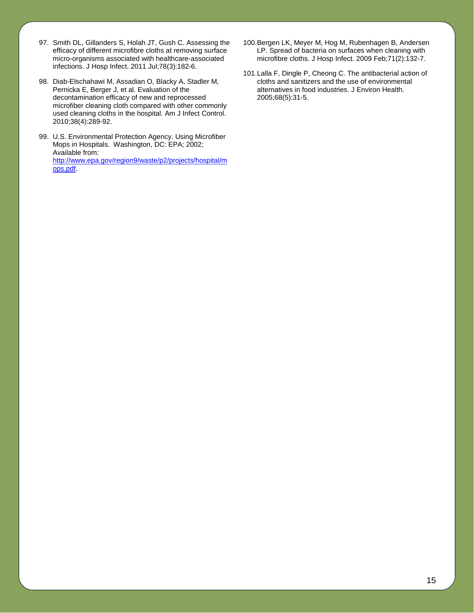- 97. Smith DL, Gillanders S, Holah JT, Gush C. Assessing the efficacy of different microfibre cloths at removing surface micro-organisms associated with healthcare-associated infections. J Hosp Infect. 2011 Jul;78(3):182-6.
- 98. Diab-Elschahawi M, Assadian O, Blacky A, Stadler M, Pernicka E, Berger J, et al. Evaluation of the decontamination efficacy of new and reprocessed microfiber cleaning cloth compared with other commonly used cleaning cloths in the hospital. Am J Infect Control. 2010;38(4):289-92.
- 99. U.S. Environmental Protection Agency. Using Microfiber Mops in Hospitals. Washington, DC: EPA; 2002; Available from: [http://www.epa.gov/region9/waste/p2/projects/hospital/m](http://www.epa.gov/region9/waste/p2/projects/hospital/mops.pdf) [ops.pdf.](http://www.epa.gov/region9/waste/p2/projects/hospital/mops.pdf)
- 100.Bergen LK, Meyer M, Hog M, Rubenhagen B, Andersen LP. Spread of bacteria on surfaces when cleaning with microfibre cloths. J Hosp Infect. 2009 Feb;71(2):132-7.
- 101.Lalla F, Dingle P, Cheong C. The antibacterial action of cloths and sanitizers and the use of environmental alternatives in food industries. J Environ Health. 2005;68(5):31-5.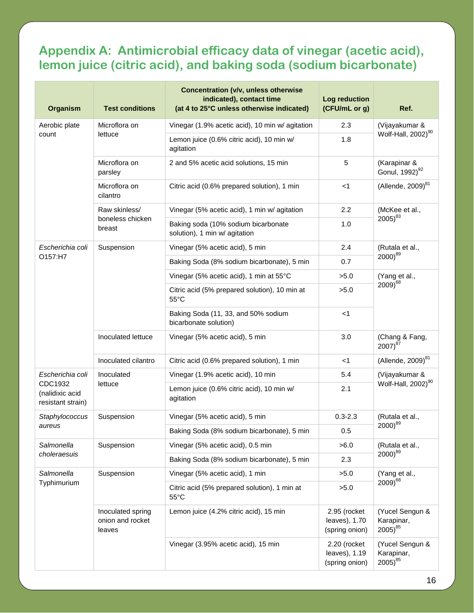## **Appendix A: Antimicrobial efficacy data of vinegar (acetic acid), lemon juice (citric acid), and baking soda (sodium bicarbonate)**

| <b>Organism</b>                                 | <b>Test conditions</b>                          | <b>Concentration (v/v, unless otherwise</b><br>indicated), contact time<br>(at 4 to 25°C unless otherwise indicated) | Log reduction<br>(CFU/mL or g)                  | Ref.                                             |
|-------------------------------------------------|-------------------------------------------------|----------------------------------------------------------------------------------------------------------------------|-------------------------------------------------|--------------------------------------------------|
| Aerobic plate<br>count                          | Microflora on<br>lettuce                        | Vinegar (1.9% acetic acid), 10 min w/ agitation                                                                      | 2.3                                             | (Vijayakumar &                                   |
|                                                 |                                                 | Lemon juice (0.6% citric acid), 10 min w/<br>agitation                                                               | 1.8                                             | Wolf-Hall, 2002) <sup>90</sup>                   |
|                                                 | Microflora on<br>parsley                        | 2 and 5% acetic acid solutions, 15 min                                                                               | 5                                               | (Karapinar &<br>Gonul, 1992) <sup>92</sup>       |
|                                                 | Microflora on<br>cilantro                       | Citric acid (0.6% prepared solution), 1 min                                                                          | $<$ 1                                           | (Allende, $2009$ ) $^{81}$                       |
|                                                 | Raw skinless/                                   | Vinegar (5% acetic acid), 1 min w/ agitation                                                                         | 2.2                                             | (McKee et al.,                                   |
|                                                 | boneless chicken<br>breast                      | Baking soda (10% sodium bicarbonate<br>solution), 1 min w/ agitation                                                 | 1.0                                             | $2005)^{83}$                                     |
| Escherichia coli                                | Suspension                                      | Vinegar (5% acetic acid), 5 min                                                                                      | 2.4                                             | (Rutala et al.,                                  |
| O157:H7                                         |                                                 | Baking Soda (8% sodium bicarbonate), 5 min                                                                           | 0.7                                             | $2000^{89}$                                      |
|                                                 |                                                 | Vinegar (5% acetic acid), 1 min at 55°C                                                                              | >5.0                                            | (Yang et al.,                                    |
|                                                 |                                                 | Citric acid (5% prepared solution), 10 min at<br>$55^{\circ}$ C                                                      | >5.0                                            | $2009)^{68}$                                     |
|                                                 |                                                 | Baking Soda (11, 33, and 50% sodium<br>bicarbonate solution)                                                         | $<$ 1                                           |                                                  |
|                                                 | Inoculated lettuce                              | Vinegar (5% acetic acid), 5 min                                                                                      | 3.0                                             | (Chang & Fang,<br>$2007)^{87}$                   |
|                                                 | Inoculated cilantro                             | Citric acid (0.6% prepared solution), 1 min                                                                          | <1                                              | (Allende, 2009) <sup>81</sup>                    |
| Escherichia coli                                | Inoculated<br>lettuce                           | Vinegar (1.9% acetic acid), 10 min                                                                                   | 5.4                                             | (Vijayakumar &<br>Wolf-Hall, 2002) <sup>90</sup> |
| CDC1932<br>(nalidixic acid<br>resistant strain) |                                                 | Lemon juice (0.6% citric acid), 10 min w/<br>agitation                                                               | 2.1                                             |                                                  |
| Staphylococcus                                  | Suspension                                      | Vinegar (5% acetic acid), 5 min                                                                                      | $0.3 - 2.3$                                     | (Rutala et al.,<br>$2000^{89}$                   |
| aureus                                          |                                                 | Baking Soda (8% sodium bicarbonate), 5 min                                                                           | 0.5                                             |                                                  |
| Salmonella                                      | Suspension                                      | Vinegar (5% acetic acid), 0.5 min                                                                                    | >6.0                                            | (Rutala et al.,<br>$2000)^{89}$                  |
| choleraesuis                                    |                                                 | Baking Soda (8% sodium bicarbonate), 5 min                                                                           | 2.3                                             |                                                  |
| Salmonella<br>Typhimurium                       | Suspension                                      | Vinegar (5% acetic acid), 1 min                                                                                      | >5.0                                            | (Yang et al.,<br>$2009)^{68}$                    |
|                                                 |                                                 | Citric acid (5% prepared solution), 1 min at<br>$55^{\circ}$ C                                                       | >5.0                                            |                                                  |
|                                                 | Inoculated spring<br>onion and rocket<br>leaves | Lemon juice (4.2% citric acid), 15 min                                                                               | 2.95 (rocket<br>leaves), 1.70<br>(spring onion) | (Yucel Sengun &<br>Karapinar,<br>$2005)^{85}$    |
|                                                 |                                                 | Vinegar (3.95% acetic acid), 15 min                                                                                  | 2.20 (rocket<br>leaves), 1.19<br>(spring onion) | (Yucel Sengun &<br>Karapinar,<br>$2005)^{85}$    |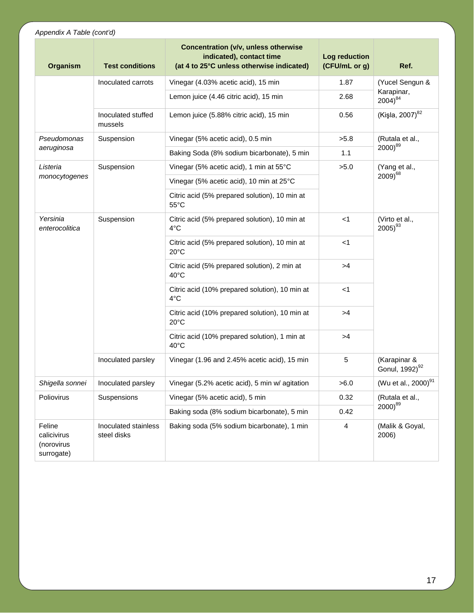#### *Appendix A Table (cont'd)*

| Organism                                          | <b>Test conditions</b>              | <b>Concentration (v/v, unless otherwise</b><br>indicated), contact time<br>(at 4 to 25°C unless otherwise indicated) | Log reduction<br>(CFU/mL or g) | Ref.                                       |
|---------------------------------------------------|-------------------------------------|----------------------------------------------------------------------------------------------------------------------|--------------------------------|--------------------------------------------|
|                                                   | Inoculated carrots                  | Vinegar (4.03% acetic acid), 15 min                                                                                  | 1.87                           | (Yucel Sengun &                            |
|                                                   |                                     | Lemon juice (4.46 citric acid), 15 min                                                                               | 2.68                           | Karapinar,<br>$2004)^{84}$                 |
|                                                   | Inoculated stuffed<br>mussels       | Lemon juice (5.88% citric acid), 15 min                                                                              | 0.56                           | (Kişla, 2007) <sup>82</sup>                |
| Pseudomonas                                       | Suspension                          | Vinegar (5% acetic acid), 0.5 min                                                                                    | >5.8                           | (Rutala et al.,                            |
| aeruginosa                                        |                                     | Baking Soda (8% sodium bicarbonate), 5 min                                                                           | 1.1                            | $2000)^{89}$                               |
| Listeria                                          | Suspension                          | Vinegar (5% acetic acid), 1 min at 55°C                                                                              | >5.0                           | (Yang et al.,                              |
| monocytogenes                                     |                                     | Vinegar (5% acetic acid), 10 min at 25°C                                                                             |                                | $2009)^{68}$                               |
|                                                   |                                     | Citric acid (5% prepared solution), 10 min at<br>$55^{\circ}$ C                                                      |                                |                                            |
| Yersinia<br>enterocolitica                        | Suspension                          | Citric acid (5% prepared solution), 10 min at<br>4°C                                                                 | $<$ 1                          | (Virto et al.,<br>$2005)^{93}$             |
|                                                   |                                     | Citric acid (5% prepared solution), 10 min at<br>$20^{\circ}$ C                                                      | $<$ 1                          |                                            |
|                                                   |                                     | Citric acid (5% prepared solution), 2 min at<br>$40^{\circ}$ C                                                       | >4                             |                                            |
|                                                   |                                     | Citric acid (10% prepared solution), 10 min at<br>4°C                                                                | $<$ 1                          |                                            |
|                                                   |                                     | Citric acid (10% prepared solution), 10 min at<br>$20^{\circ}$ C                                                     | >4                             |                                            |
|                                                   |                                     | Citric acid (10% prepared solution), 1 min at<br>$40^{\circ}$ C                                                      | >4                             |                                            |
|                                                   | Inoculated parsley                  | Vinegar (1.96 and 2.45% acetic acid), 15 min                                                                         | 5                              | (Karapinar &<br>Gonul, 1992) <sup>92</sup> |
| Shigella sonnei                                   | Inoculated parsley                  | Vinegar (5.2% acetic acid), 5 min w/ agitation                                                                       | >6.0                           | (Wu et al., 2000) <sup>91</sup>            |
| Poliovirus                                        | Suspensions                         | Vinegar (5% acetic acid), 5 min                                                                                      | 0.32                           | (Rutala et al.,<br>$2000^{89}$             |
|                                                   |                                     | Baking soda (8% sodium bicarbonate), 5 min                                                                           | 0.42                           |                                            |
| Feline<br>calicivirus<br>(norovirus<br>surrogate) | Inoculated stainless<br>steel disks | Baking soda (5% sodium bicarbonate), 1 min                                                                           | 4                              | (Malik & Goyal,<br>2006)                   |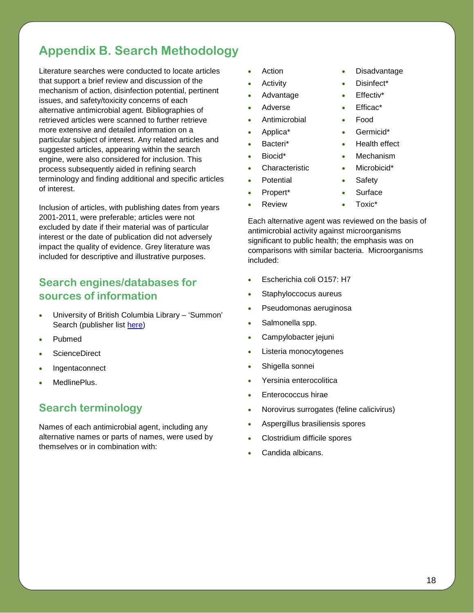# **Appendix B. Search Methodology**

Literature searches were conducted to locate articles that support a brief review and discussion of the mechanism of action, disinfection potential, pertinent issues, and safety/toxicity concerns of each alternative antimicrobial agent. Bibliographies of retrieved articles were scanned to further retrieve more extensive and detailed information on a particular subject of interest. Any related articles and suggested articles, appearing within the search engine, were also considered for inclusion. This process subsequently aided in refining search terminology and finding additional and specific articles of interest.

Inclusion of articles, with publishing dates from years 2001-2011, were preferable; articles were not excluded by date if their material was of particular interest or the date of publication did not adversely impact the quality of evidence. Grey literature was included for descriptive and illustrative purposes.

#### **Search engines/databases for sources of information**

- University of British Columbia Library 'Summon' Search (publisher list [here\)](http://www.serialssolutions.com/resources/detail/summon-participating-publishers)
- Pubmed
- ScienceDirect
- **Ingentaconnect**
- MedlinePlus.

### **Search terminology**

Names of each antimicrobial agent, including any alternative names or parts of names, were used by themselves or in combination with:

- Action Disadvantage
- Activity Disinfect\*
- Advantage Effectiv\*
- Adverse Efficac\*
- Antimicrobial Food
- Applica\* Germicid\*
- Bacteri\* Health effect
- Biocid\* Mechanism
- Characteristic Microbicid\*
- Potential Safety
- Propert\* **•** Surface
- -
	- Review Toxic\*

Each alternative agent was reviewed on the basis of antimicrobial activity against microorganisms significant to public health; the emphasis was on comparisons with similar bacteria. Microorganisms included:

- Escherichia coli O157: H7
- Staphyloccocus aureus
- Pseudomonas aeruginosa
- Salmonella spp.
- Campylobacter jejuni
- Listeria monocytogenes
- Shigella sonnei
- Yersinia enterocolitica
- Enterococcus hirae
- Norovirus surrogates (feline calicivirus)
- Aspergillus brasiliensis spores
- Clostridium difficile spores
- Candida albicans.